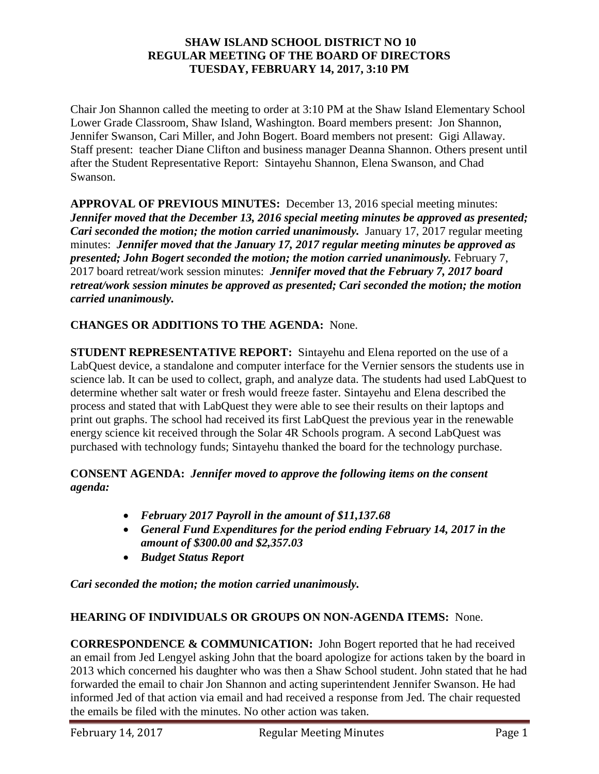#### **SHAW ISLAND SCHOOL DISTRICT NO 10 REGULAR MEETING OF THE BOARD OF DIRECTORS TUESDAY, FEBRUARY 14, 2017, 3:10 PM**

Chair Jon Shannon called the meeting to order at 3:10 PM at the Shaw Island Elementary School Lower Grade Classroom, Shaw Island, Washington. Board members present: Jon Shannon, Jennifer Swanson, Cari Miller, and John Bogert. Board members not present: Gigi Allaway. Staff present: teacher Diane Clifton and business manager Deanna Shannon. Others present until after the Student Representative Report: Sintayehu Shannon, Elena Swanson, and Chad Swanson.

**APPROVAL OF PREVIOUS MINUTES:** December 13, 2016 special meeting minutes: *Jennifer moved that the December 13, 2016 special meeting minutes be approved as presented; Cari seconded the motion; the motion carried unanimously.* January 17, 2017 regular meeting minutes: *Jennifer moved that the January 17, 2017 regular meeting minutes be approved as presented; John Bogert seconded the motion; the motion carried unanimously.* February 7, 2017 board retreat/work session minutes: *Jennifer moved that the February 7, 2017 board retreat/work session minutes be approved as presented; Cari seconded the motion; the motion carried unanimously.* 

#### **CHANGES OR ADDITIONS TO THE AGENDA:** None.

**STUDENT REPRESENTATIVE REPORT:** Sintayehu and Elena reported on the use of a LabQuest device, a standalone and computer interface for the Vernier sensors the students use in science lab. It can be used to collect, graph, and analyze data. The students had used LabQuest to determine whether salt water or fresh would freeze faster. Sintayehu and Elena described the process and stated that with LabQuest they were able to see their results on their laptops and print out graphs. The school had received its first LabQuest the previous year in the renewable energy science kit received through the Solar 4R Schools program. A second LabQuest was purchased with technology funds; Sintayehu thanked the board for the technology purchase.

#### **CONSENT AGENDA:** *Jennifer moved to approve the following items on the consent agenda:*

- *February 2017 Payroll in the amount of \$11,137.68*
- *General Fund Expenditures for the period ending February 14, 2017 in the amount of \$300.00 and \$2,357.03*
- *Budget Status Report*

*Cari seconded the motion; the motion carried unanimously.*

## **HEARING OF INDIVIDUALS OR GROUPS ON NON-AGENDA ITEMS:** None.

**CORRESPONDENCE & COMMUNICATION:** John Bogert reported that he had received an email from Jed Lengyel asking John that the board apologize for actions taken by the board in 2013 which concerned his daughter who was then a Shaw School student. John stated that he had forwarded the email to chair Jon Shannon and acting superintendent Jennifer Swanson. He had informed Jed of that action via email and had received a response from Jed. The chair requested the emails be filed with the minutes. No other action was taken.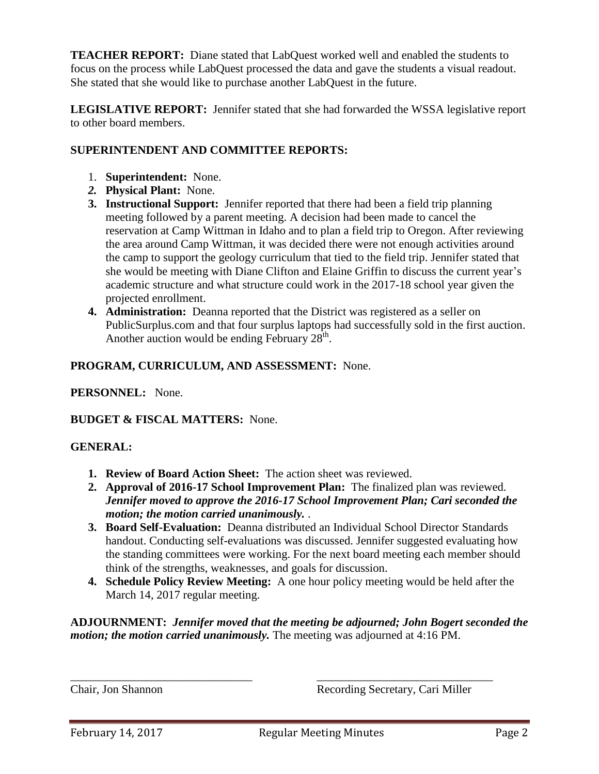**TEACHER REPORT:** Diane stated that LabQuest worked well and enabled the students to focus on the process while LabQuest processed the data and gave the students a visual readout. She stated that she would like to purchase another LabQuest in the future.

**LEGISLATIVE REPORT:** Jennifer stated that she had forwarded the WSSA legislative report to other board members.

## **SUPERINTENDENT AND COMMITTEE REPORTS:**

- 1. **Superintendent:** None.
- *2.* **Physical Plant:** None.
- **3. Instructional Support:** Jennifer reported that there had been a field trip planning meeting followed by a parent meeting. A decision had been made to cancel the reservation at Camp Wittman in Idaho and to plan a field trip to Oregon. After reviewing the area around Camp Wittman, it was decided there were not enough activities around the camp to support the geology curriculum that tied to the field trip. Jennifer stated that she would be meeting with Diane Clifton and Elaine Griffin to discuss the current year's academic structure and what structure could work in the 2017-18 school year given the projected enrollment.
- **4. Administration:** Deanna reported that the District was registered as a seller on PublicSurplus.com and that four surplus laptops had successfully sold in the first auction. Another auction would be ending February  $28^{\text{th}}$ .

# **PROGRAM, CURRICULUM, AND ASSESSMENT:** None.

## **PERSONNEL:** None.

## **BUDGET & FISCAL MATTERS:** None.

## **GENERAL:**

- **1. Review of Board Action Sheet:** The action sheet was reviewed.
- **2. Approval of 2016-17 School Improvement Plan:** The finalized plan was reviewed. *Jennifer moved to approve the 2016-17 School Improvement Plan; Cari seconded the motion; the motion carried unanimously.* .
- **3. Board Self-Evaluation:** Deanna distributed an Individual School Director Standards handout. Conducting self-evaluations was discussed. Jennifer suggested evaluating how the standing committees were working. For the next board meeting each member should think of the strengths, weaknesses, and goals for discussion.
- **4. Schedule Policy Review Meeting:** A one hour policy meeting would be held after the March 14, 2017 regular meeting.

**ADJOURNMENT:** *Jennifer moved that the meeting be adjourned; John Bogert seconded the motion; the motion carried unanimously.* The meeting was adjourned at 4:16 PM.

\_\_\_\_\_\_\_\_\_\_\_\_\_\_\_\_\_\_\_\_\_\_\_\_\_\_\_\_\_\_\_ \_\_\_\_\_\_\_\_\_\_\_\_\_\_\_\_\_\_\_\_\_\_\_\_\_\_\_\_\_\_

Chair, Jon Shannon Recording Secretary, Cari Miller